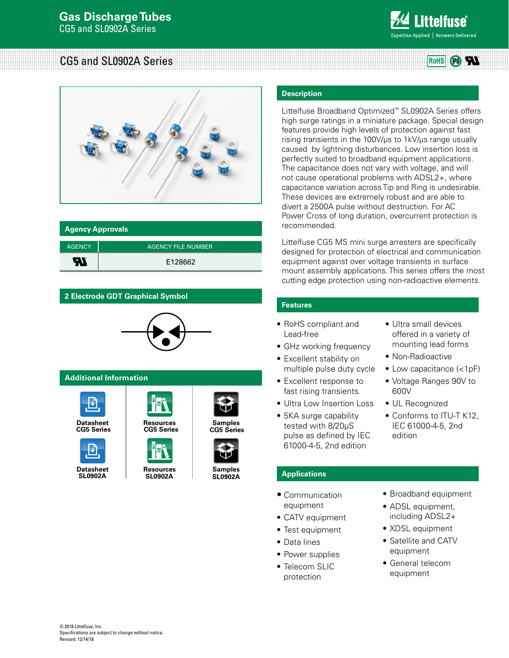

W  $(P_0)$ 

# CG5 and SL0902A Series **Rows** Rouse **Rows** Rouse **Rows**



| <b>Agency Approvals</b> |                           |  |  |  |
|-------------------------|---------------------------|--|--|--|
| <b>AGENCY</b>           | <b>AGENCY FILE NUMBER</b> |  |  |  |
| ЯI                      | E128662                   |  |  |  |

# **2 Electrode GDT Graphical Symbol**



**[CG5 Series](http://www.littelfuse.com/~/media/electronics/datasheets/gas_discharge_tubes/littelfuse_gdt_cg5_sl0902a_datasheet.pdf.pdf) [CG5 Series](http://www.littelfuse.com/products/gas-discharge-tubes/low-to-medium-surge-gdt/cg5.aspx#TechnicalResources) [CG5 Series](http://www.littelfuse.com/products/gas-discharge-tubes/low-to-medium-surge-gdt/cg5.aspx#ElectricalCharacteristics)**

# **Additional Information**



**Datasheet Resources Resources Samples**<br> **CG5 Series CG5 Series CG5 Serie** 



**SL0902A**

**[Resources](http://www.littelfuse.com/products/gas-discharge-tubes/low-to-medium-surge-gdt/sl0902a.aspx#TechnicalResources) SL0902A**



**CG5 Series**



**[SL0902A](http://www.littelfuse.com/products/gas-discharge-tubes/low-to-medium-surge-gdt/sl0902a.aspx#ElectricalCharacteristics)**

# **Description**

Littelfuse Broadband Optimized™ SL0902A Series offers high surge ratings in a miniature package. Special design features provide high levels of protection against fast rising transients in the 100V/μs to 1kV/μs range usually caused by lightning disturbances. Low insertion loss is perfectly suited to broadband equipment applications. The capacitance does not vary with voltage, and will not cause operational problems with ADSL2+, where capacitance variation across Tip and Ring is undesirable. These devices are extremely robust and are able to divert a 2500A pulse without destruction. For AC Power Cross of long duration, overcurrent protection is recommended.

Littelfuse CG5 MS mini surge arresters are specifically designed for protection of electrical and communication equipment against over voltage transients in surface mount assembly applications. This series offers the most cutting edge protection using non-radioactive elements.

# **Features**

- RoHS compliant and Lead-free
- GHz working frequency
- Excellent stability on multiple pulse duty cycle
- Excellent response to fast rising transients.
- Ultra Low Insertion Loss
- 5KA surge capability tested with 8/20μS pulse as defined by IEC 61000-4-5, 2nd edition
- Ultra small devices offered in a variety of mounting lead forms
- Non-Radioactive
- Low capacitance (<1pF)
- Voltage Ranges 90V to 600V
- UL Recognized
- Conforms to ITU-T K12, IEC 61000-4-5, 2nd edition

# **Applications**

- Communication equipment
- CATV equipment
- Test equipment
- Data lines
- Power supplies
- Telecom SLIC protection
- Broadband equipment
- ADSL equipment, including ADSL2+
- XDSL equipment
- Satellite and CATV equipment
- General telecom equipment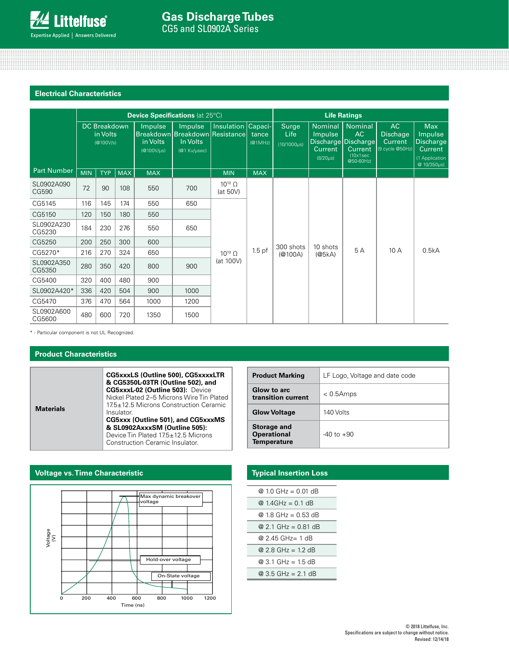# **Electrical Characteristics**

|                      | <b>Device Specifications (at 25°C)</b>       |            |                                          |                                                                       |                    | <b>Life Ratings</b>             |                                    |                                                        |                                                                                  |                                                      |                                                                                              |       |
|----------------------|----------------------------------------------|------------|------------------------------------------|-----------------------------------------------------------------------|--------------------|---------------------------------|------------------------------------|--------------------------------------------------------|----------------------------------------------------------------------------------|------------------------------------------------------|----------------------------------------------------------------------------------------------|-------|
|                      | <b>DC Breakdown</b><br>in Volts<br>(g100V/s) |            | <b>Impulse</b><br>in Volts<br>(@100V/us) | Impulse<br>Breakdown Breakdown Resistance<br>In Volts<br>(@1 Kv/usec) | Insulation Capaci- | tance<br>(@1MHz)                | Surge<br>Life<br>$(10/1000 \mu s)$ | <b>Nominal</b><br>Impulse<br>Current<br>$(8/20 \mu s)$ | <b>Nominal</b><br>AC.<br>Discharge Discharge<br>Current<br>(10x1sec<br>@50-60Hz) | AC.<br><b>Dischage</b><br>Current<br>(9 cycle @50Hz) | <b>Max</b><br><b>Impulse</b><br><b>Discharge</b><br>Current<br>(1 Application<br>@ 10/350us) |       |
| <b>Part Number</b>   | <b>MIN</b>                                   | <b>TYP</b> | $ $ MAX                                  | <b>MAX</b>                                                            |                    | <b>MIN</b>                      | <b>MAX</b>                         |                                                        |                                                                                  |                                                      |                                                                                              |       |
| SL0902A090<br>CG590  | 72                                           | 90         | 108                                      | 550                                                                   | 700                | $10^{10}$ $\Omega$<br>(at 50V)  |                                    |                                                        |                                                                                  |                                                      |                                                                                              |       |
| CG5145               | 116                                          | 145        | 174                                      | 550                                                                   | 650                | $10^{10}$ $\Omega$<br>(at 100V) | $1.5$ pf                           | 300 shots<br>(@100A)                                   | 10 shots<br>(@5kA)                                                               | 5 A                                                  | 10A                                                                                          | 0.5kA |
| CG5150               | 120                                          | 150        | 180                                      | 550                                                                   |                    |                                 |                                    |                                                        |                                                                                  |                                                      |                                                                                              |       |
| SL0902A230<br>CG5230 | 184                                          | 230        | 276                                      | 550                                                                   | 650                |                                 |                                    |                                                        |                                                                                  |                                                      |                                                                                              |       |
| CG5250               | 200                                          | 250        | 300                                      | 600                                                                   |                    |                                 |                                    |                                                        |                                                                                  |                                                      |                                                                                              |       |
| CG5270*              | 216                                          | 270        | 324                                      | 650                                                                   |                    |                                 |                                    |                                                        |                                                                                  |                                                      |                                                                                              |       |
| SL0902A350<br>CG5350 | 280                                          | 350        | 420                                      | 800                                                                   | 900                |                                 |                                    |                                                        |                                                                                  |                                                      |                                                                                              |       |
| CG5400               | 320                                          | 400        | 480                                      | 900                                                                   |                    |                                 |                                    |                                                        |                                                                                  |                                                      |                                                                                              |       |
| SL0902A420*          | 336                                          | 420        | 504                                      | 900                                                                   | 1000               |                                 |                                    |                                                        |                                                                                  |                                                      |                                                                                              |       |
| CG5470               | 376                                          | 470        | 564                                      | 1000                                                                  | 1200               |                                 |                                    |                                                        |                                                                                  |                                                      |                                                                                              |       |
| SL0902A600<br>CG5600 | 480                                          | 600        | 720                                      | 1350                                                                  | 1500               |                                 |                                    |                                                        |                                                                                  |                                                      |                                                                                              |       |

\* - Particular component is not UL Recognized.

# **Product Characteristics**

**Materials**

**CG5xxxLS (Outline 500), CG5xxxxLTR & CG5350L-03TR (Outline 502), and CG5xxxL-02 (Outline 503):** Device Nickel Plated 2–5 Microns Wire Tin Plated 17.5±12.5 Microns Construction Ceramic Insulator. **CG5xxx (Outline 501), and CG5xxxMS & SL0902AxxxSM (Outline 505):** Device Tin Plated 17.5±12.5 Microns Construction Ceramic Insulator.

| <b>Product Marking</b>                                  | LF Logo, Voltage and date code |
|---------------------------------------------------------|--------------------------------|
| Glow to arc<br>transition current                       | $< 0.5$ Amps                   |
| <b>Glow Voltage</b>                                     | 140 Volts                      |
| <b>Storage and</b><br><b>Operational</b><br>Temperature | $-40$ to $+90$                 |

# **Voltage vs. Time Characteristic**



# **Typical Insertion Loss**

| @ 1.0 GHz = 0.01 dB                 |
|-------------------------------------|
| @ $1.4$ GHz = 0.1 dB                |
| @ 1.8 GHz = 0.53 dB                 |
| @ 2.1 GHz = 0.81 dB                 |
| @ 2.45 GHz= 1 dB                    |
| $@2.8 \text{ GHz} = 1.2 \text{ dB}$ |
| $@3.1 \text{ GHz} = 1.5 \text{ dB}$ |
| $@3.5$ GHz = 2.1 dB                 |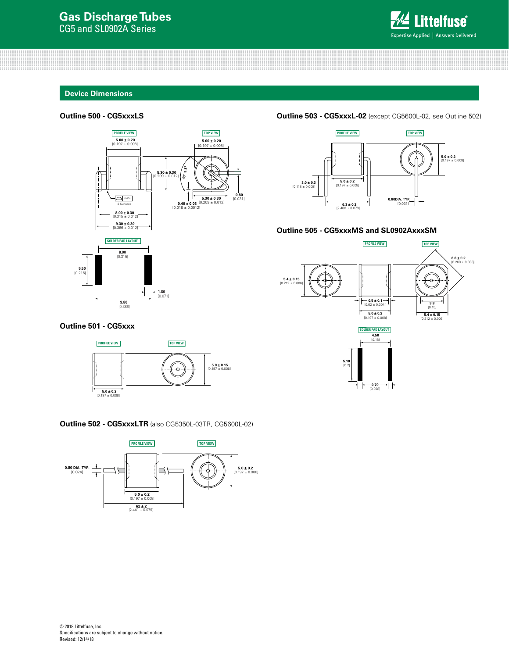

#### **Device Dimensions**

#### **Outline 500 - CG5xxxLS**



#### **Outline 503 - CG5xxxL-02** (except CG5600L-02, see Outline 502)



#### **Outline 505 - CG5xxxMS and SL0902AxxxSM**



#### **Outline 501 - CG5xxx**



#### **Outline 502 - CG5xxxLTR** (also CG5350L-03TR, CG5600L-02)

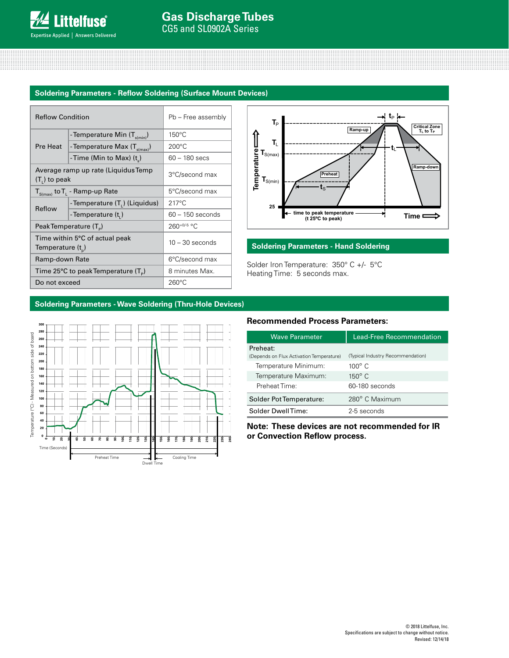## **Soldering Parameters - Reflow Soldering (Surface Mount Devices)**

| <b>Reflow Condition</b> |                                                           | Pb - Free assembly |  |
|-------------------------|-----------------------------------------------------------|--------------------|--|
|                         | - Temperature Min (T <sub>s(min)</sub> )                  | $150^{\circ}$ C    |  |
| Pre Heat                | - Temperature Max (T <sub>s(max)</sub> )                  | $200^{\circ}$ C    |  |
|                         | -Time (Min to Max) $(t_a)$                                | 60 - 180 secs      |  |
| $(T1)$ to peak          | Average ramp up rate (Liquidus Temp                       | 3°C/second max     |  |
|                         | $T_{S(max)}$ to $T_{L}$ - Ramp-up Rate                    | 5°C/second max     |  |
| Reflow                  | - Temperature (T <sub>1</sub> ) (Liquidus)                | $217^{\circ}$ C    |  |
|                         | - Temperature $(ti)$                                      | $60 - 150$ seconds |  |
|                         | 260+0/-5 °C<br>Peak Temperature (T <sub>e</sub> )         |                    |  |
| Temperature $(t_{n})$   | Time within 5°C of actual peak                            | $10 - 30$ seconds  |  |
| Ramp-down Rate          |                                                           | 6°C/second max     |  |
|                         | Time 25 $\degree$ C to peak Temperature (T <sub>o</sub> ) | 8 minutes Max.     |  |
| Do not exceed           |                                                           | $260^{\circ}$ C    |  |



# **Soldering Parameters - Hand Soldering**

Solder Iron Temperature: 350° C +/- 5°C Heating Time: 5 seconds max.

### **Soldering Parameters - Wave Soldering (Thru-Hole Devices)**



# **Recommended Process Parameters:**

| <b>Wave Parameter</b>                                | <b>Lead-Free Recommendation</b>   |  |  |
|------------------------------------------------------|-----------------------------------|--|--|
| Preheat:<br>(Depends on Flux Activation Temperature) | (Typical Industry Recommendation) |  |  |
| Temperature Minimum:                                 | $100^\circ$ C                     |  |  |
| Temperature Maximum:                                 | $150^{\circ}$ C                   |  |  |
| Preheat Time:                                        | 60-180 seconds                    |  |  |
| Solder Pot Temperature:                              | 280° C Maximum                    |  |  |
| Solder DwellTime:                                    | 2-5 seconds                       |  |  |

**Note: These devices are not recommended for IR or Convection Reflow process.**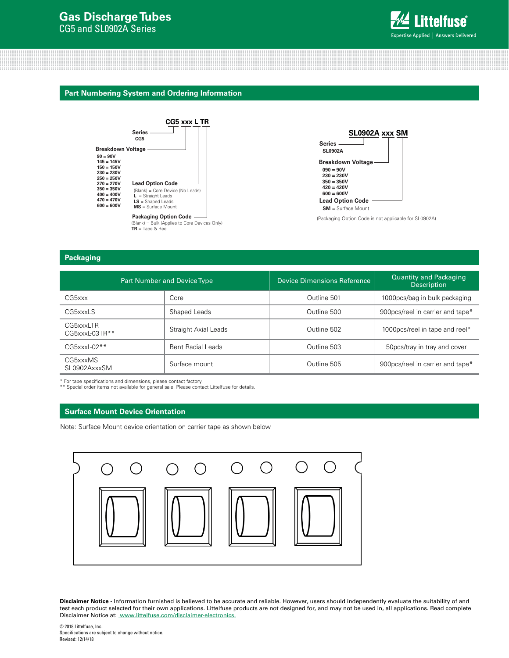# **Gas Discharge Tubes**

CG5 and SL0902A Series



#### **Part Numbering System and Ordering Information**





(Packaging Option Code is not applicable for SL0902A)

## **Packaging**

|                                  | Part Number and Device Type | Device Dimensions Reference | <b>Quantity and Packaging</b><br><b>Description</b> |  |
|----------------------------------|-----------------------------|-----------------------------|-----------------------------------------------------|--|
| CG5xxx                           | Core                        | Outline 501                 | 1000pcs/bag in bulk packaging                       |  |
| CG5xxxLS                         | Shaped Leads                | Outline 500                 | 900pcs/reel in carrier and tape*                    |  |
| CG5xxxLTR<br>$CG5$ xxx $L03TR**$ | Straight Axial Leads        | Outline 502                 | 1000pcs/reel in tape and reel*                      |  |
| $CG5$ xxx $L02**$                | Bent Radial Leads           | Outline 503                 | 50pcs/tray in tray and cover                        |  |
| CG5xxxMS<br>SL0902AxxxSM         | Surface mount               | Outline 505                 | 900pcs/reel in carrier and tape*                    |  |

\* For tape specifications and dimensions, please contact factory. \*\* Special order items not available for general sale. Please contact Littelfuse for details.

#### **Surface Mount Device Orientation**

Note: Surface Mount device orientation on carrier tape as shown below



**Disclaimer Notice -** Information furnished is believed to be accurate and reliable. However, users should independently evaluate the suitability of and test each product selected for their own applications. Littelfuse products are not designed for, and may not be used in, all applications. Read complete Disclaimer Notice at: [www.littelfuse.com/disclaimer-electronics.](http://www.littelfuse.com/disclaimer-electronics)

© 2018 Littelfuse, Inc. Specifications are subject to change without notice. Revised: 12/14/18